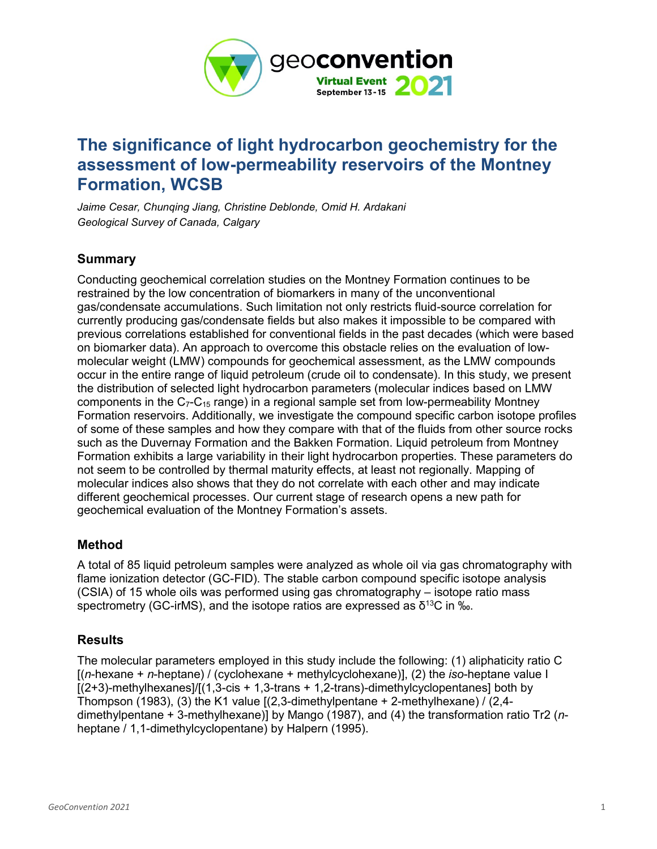

# **The significance of light hydrocarbon geochemistry for the assessment of low-permeability reservoirs of the Montney Formation, WCSB**

*Jaime Cesar, Chunqing Jiang, Christine Deblonde, Omid H. Ardakani Geological Survey of Canada, Calgary*

## **Summary**

Conducting geochemical correlation studies on the Montney Formation continues to be restrained by the low concentration of biomarkers in many of the unconventional gas/condensate accumulations. Such limitation not only restricts fluid-source correlation for currently producing gas/condensate fields but also makes it impossible to be compared with previous correlations established for conventional fields in the past decades (which were based on biomarker data). An approach to overcome this obstacle relies on the evaluation of lowmolecular weight (LMW) compounds for geochemical assessment, as the LMW compounds occur in the entire range of liquid petroleum (crude oil to condensate). In this study, we present the distribution of selected light hydrocarbon parameters (molecular indices based on LMW components in the  $C_7$ - $C_{15}$  range) in a regional sample set from low-permeability Montney Formation reservoirs. Additionally, we investigate the compound specific carbon isotope profiles of some of these samples and how they compare with that of the fluids from other source rocks such as the Duvernay Formation and the Bakken Formation. Liquid petroleum from Montney Formation exhibits a large variability in their light hydrocarbon properties. These parameters do not seem to be controlled by thermal maturity effects, at least not regionally. Mapping of molecular indices also shows that they do not correlate with each other and may indicate different geochemical processes. Our current stage of research opens a new path for geochemical evaluation of the Montney Formation's assets.

### **Method**

A total of 85 liquid petroleum samples were analyzed as whole oil via gas chromatography with flame ionization detector (GC-FID). The stable carbon compound specific isotope analysis (CSIA) of 15 whole oils was performed using gas chromatography – isotope ratio mass spectrometry (GC-irMS), and the isotope ratios are expressed as  $\delta^{13}C$  in ‰.

### **Results**

The molecular parameters employed in this study include the following: (1) aliphaticity ratio C [(*n*-hexane + *n*-heptane) / (cyclohexane + methylcyclohexane)], (2) the *iso*-heptane value I  $[(2+3)$ -methylhexanes]/ $[(1,3-cis + 1,3-trans + 1,2-trans)$ -dimethylcyclopentanes] both by Thompson (1983), (3) the K1 value  $[(2,3\textrm{-}dimethylpentane + 2\textrm{-}methylhexane) / (2,4\textrm{-}d)$ dimethylpentane + 3-methylhexane)] by Mango (1987), and (4) the transformation ratio Tr2 (*n*heptane / 1,1-dimethylcyclopentane) by Halpern (1995).